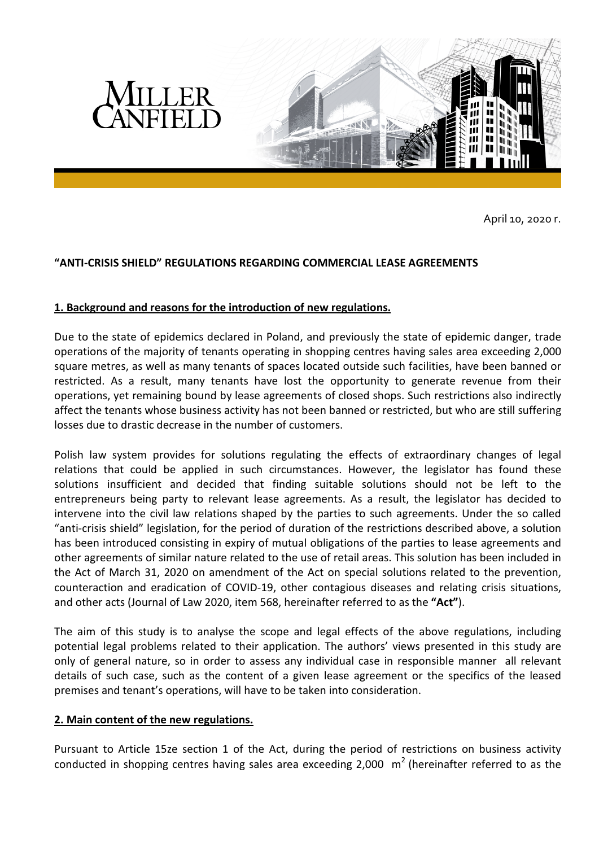



April 10, 2020 r.

# **"ANTI-CRISIS SHIELD" REGULATIONS REGARDING COMMERCIAL LEASE AGREEMENTS**

## **1. Background and reasons for the introduction of new regulations.**

Due to the state of epidemics declared in Poland, and previously the state of epidemic danger, trade operations of the majority of tenants operating in shopping centres having sales area exceeding 2,000 square metres, as well as many tenants of spaces located outside such facilities, have been banned or restricted. As a result, many tenants have lost the opportunity to generate revenue from their operations, yet remaining bound by lease agreements of closed shops. Such restrictions also indirectly affect the tenants whose business activity has not been banned or restricted, but who are still suffering losses due to drastic decrease in the number of customers.

Polish law system provides for solutions regulating the effects of extraordinary changes of legal relations that could be applied in such circumstances. However, the legislator has found these solutions insufficient and decided that finding suitable solutions should not be left to the entrepreneurs being party to relevant lease agreements. As a result, the legislator has decided to intervene into the civil law relations shaped by the parties to such agreements. Under the so called "anti-crisis shield" legislation, for the period of duration of the restrictions described above, a solution has been introduced consisting in expiry of mutual obligations of the parties to lease agreements and other agreements of similar nature related to the use of retail areas. This solution has been included in the Act of March 31, 2020 on amendment of the Act on special solutions related to the prevention, counteraction and eradication of COVID-19, other contagious diseases and relating crisis situations, and other acts (Journal of Law 2020, item 568, hereinafter referred to as the **"Act"**).

The aim of this study is to analyse the scope and legal effects of the above regulations, including potential legal problems related to their application. The authors' views presented in this study are only of general nature, so in order to assess any individual case in responsible manner all relevant details of such case, such as the content of a given lease agreement or the specifics of the leased premises and tenant's operations, will have to be taken into consideration.

## **2. Main content of the new regulations.**

Pursuant to Article 15ze section 1 of the Act, during the period of restrictions on business activity conducted in shopping centres having sales area exceeding 2,000  $\,$  m<sup>2</sup> (hereinafter referred to as the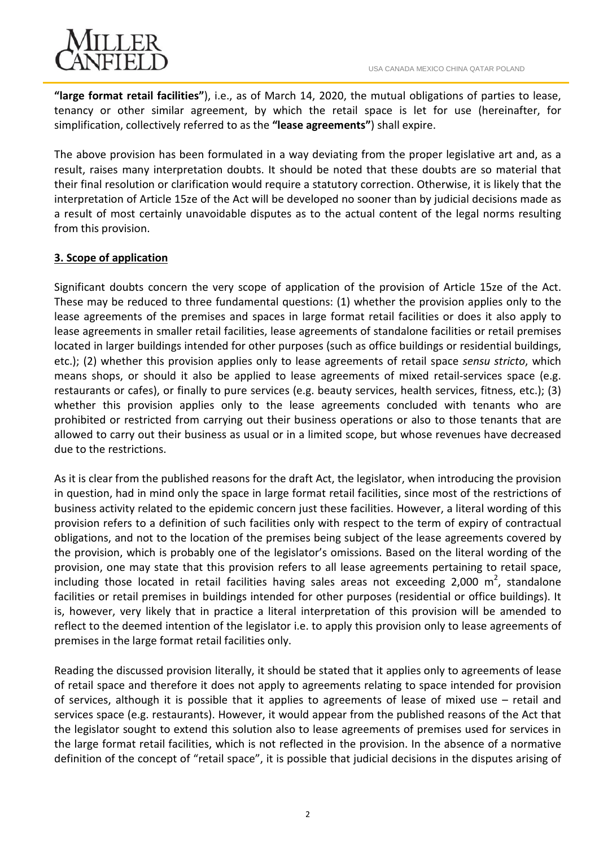

**"large format retail facilities"**), i.e., as of March 14, 2020, the mutual obligations of parties to lease, tenancy or other similar agreement, by which the retail space is let for use (hereinafter, for simplification, collectively referred to as the **"lease agreements"**) shall expire.

The above provision has been formulated in a way deviating from the proper legislative art and, as a result, raises many interpretation doubts. It should be noted that these doubts are so material that their final resolution or clarification would require a statutory correction. Otherwise, it is likely that the interpretation of Article 15ze of the Act will be developed no sooner than by judicial decisions made as a result of most certainly unavoidable disputes as to the actual content of the legal norms resulting from this provision.

# **3. Scope of application**

Significant doubts concern the very scope of application of the provision of Article 15ze of the Act. These may be reduced to three fundamental questions: (1) whether the provision applies only to the lease agreements of the premises and spaces in large format retail facilities or does it also apply to lease agreements in smaller retail facilities, lease agreements of standalone facilities or retail premises located in larger buildings intended for other purposes (such as office buildings or residential buildings, etc.); (2) whether this provision applies only to lease agreements of retail space *sensu stricto*, which means shops, or should it also be applied to lease agreements of mixed retail-services space (e.g. restaurants or cafes), or finally to pure services (e.g. beauty services, health services, fitness, etc.); (3) whether this provision applies only to the lease agreements concluded with tenants who are prohibited or restricted from carrying out their business operations or also to those tenants that are allowed to carry out their business as usual or in a limited scope, but whose revenues have decreased due to the restrictions.

As it is clear from the published reasons for the draft Act, the legislator, when introducing the provision in question, had in mind only the space in large format retail facilities, since most of the restrictions of business activity related to the epidemic concern just these facilities. However, a literal wording of this provision refers to a definition of such facilities only with respect to the term of expiry of contractual obligations, and not to the location of the premises being subject of the lease agreements covered by the provision, which is probably one of the legislator's omissions. Based on the literal wording of the provision, one may state that this provision refers to all lease agreements pertaining to retail space, including those located in retail facilities having sales areas not exceeding 2,000  $m^2$ , standalone facilities or retail premises in buildings intended for other purposes (residential or office buildings). It is, however, very likely that in practice a literal interpretation of this provision will be amended to reflect to the deemed intention of the legislator i.e. to apply this provision only to lease agreements of premises in the large format retail facilities only.

Reading the discussed provision literally, it should be stated that it applies only to agreements of lease of retail space and therefore it does not apply to agreements relating to space intended for provision of services, although it is possible that it applies to agreements of lease of mixed use – retail and services space (e.g. restaurants). However, it would appear from the published reasons of the Act that the legislator sought to extend this solution also to lease agreements of premises used for services in the large format retail facilities, which is not reflected in the provision. In the absence of a normative definition of the concept of "retail space", it is possible that judicial decisions in the disputes arising of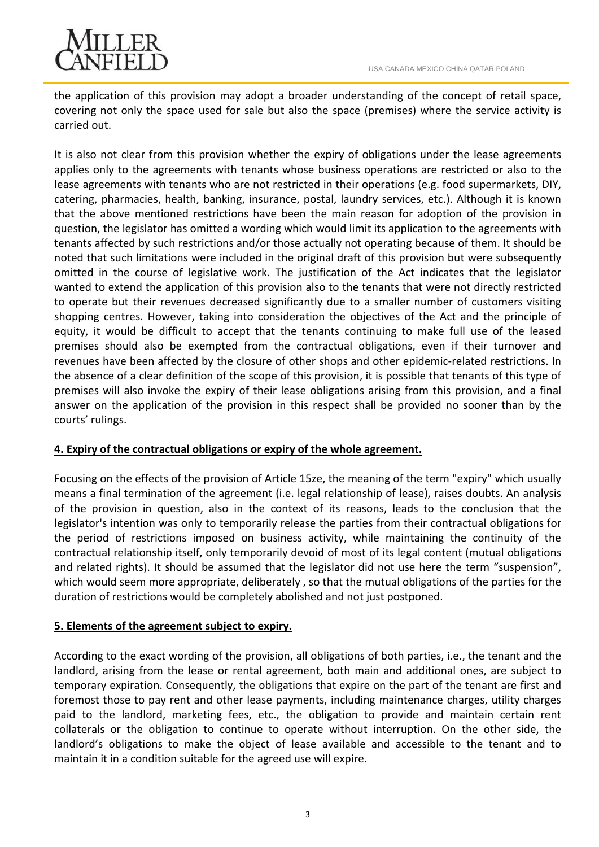

the application of this provision may adopt a broader understanding of the concept of retail space, covering not only the space used for sale but also the space (premises) where the service activity is carried out.

It is also not clear from this provision whether the expiry of obligations under the lease agreements applies only to the agreements with tenants whose business operations are restricted or also to the lease agreements with tenants who are not restricted in their operations (e.g. food supermarkets, DIY, catering, pharmacies, health, banking, insurance, postal, laundry services, etc.). Although it is known that the above mentioned restrictions have been the main reason for adoption of the provision in question, the legislator has omitted a wording which would limit its application to the agreements with tenants affected by such restrictions and/or those actually not operating because of them. It should be noted that such limitations were included in the original draft of this provision but were subsequently omitted in the course of legislative work. The justification of the Act indicates that the legislator wanted to extend the application of this provision also to the tenants that were not directly restricted to operate but their revenues decreased significantly due to a smaller number of customers visiting shopping centres. However, taking into consideration the objectives of the Act and the principle of equity, it would be difficult to accept that the tenants continuing to make full use of the leased premises should also be exempted from the contractual obligations, even if their turnover and revenues have been affected by the closure of other shops and other epidemic-related restrictions. In the absence of a clear definition of the scope of this provision, it is possible that tenants of this type of premises will also invoke the expiry of their lease obligations arising from this provision, and a final answer on the application of the provision in this respect shall be provided no sooner than by the courts' rulings.

## **4. Expiry of the contractual obligations or expiry of the whole agreement.**

Focusing on the effects of the provision of Article 15ze, the meaning of the term "expiry" which usually means a final termination of the agreement (i.e. legal relationship of lease), raises doubts. An analysis of the provision in question, also in the context of its reasons, leads to the conclusion that the legislator's intention was only to temporarily release the parties from their contractual obligations for the period of restrictions imposed on business activity, while maintaining the continuity of the contractual relationship itself, only temporarily devoid of most of its legal content (mutual obligations and related rights). It should be assumed that the legislator did not use here the term "suspension", which would seem more appropriate, deliberately , so that the mutual obligations of the parties for the duration of restrictions would be completely abolished and not just postponed.

## **5. Elements of the agreement subject to expiry.**

According to the exact wording of the provision, all obligations of both parties, i.e., the tenant and the landlord, arising from the lease or rental agreement, both main and additional ones, are subject to temporary expiration. Consequently, the obligations that expire on the part of the tenant are first and foremost those to pay rent and other lease payments, including maintenance charges, utility charges paid to the landlord, marketing fees, etc., the obligation to provide and maintain certain rent collaterals or the obligation to continue to operate without interruption. On the other side, the landlord's obligations to make the object of lease available and accessible to the tenant and to maintain it in a condition suitable for the agreed use will expire.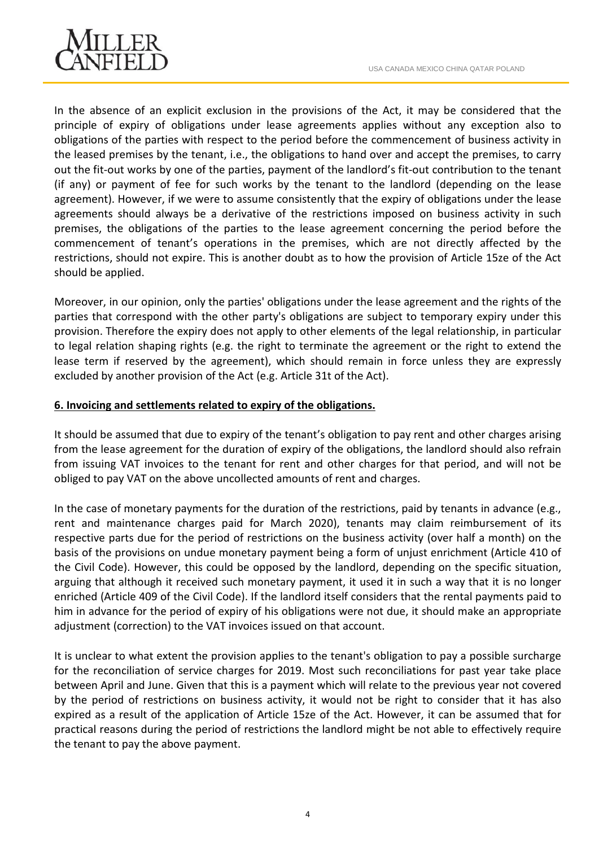

In the absence of an explicit exclusion in the provisions of the Act, it may be considered that the principle of expiry of obligations under lease agreements applies without any exception also to obligations of the parties with respect to the period before the commencement of business activity in the leased premises by the tenant, i.e., the obligations to hand over and accept the premises, to carry out the fit-out works by one of the parties, payment of the landlord's fit-out contribution to the tenant (if any) or payment of fee for such works by the tenant to the landlord (depending on the lease agreement). However, if we were to assume consistently that the expiry of obligations under the lease agreements should always be a derivative of the restrictions imposed on business activity in such premises, the obligations of the parties to the lease agreement concerning the period before the commencement of tenant's operations in the premises, which are not directly affected by the restrictions, should not expire. This is another doubt as to how the provision of Article 15ze of the Act should be applied.

Moreover, in our opinion, only the parties' obligations under the lease agreement and the rights of the parties that correspond with the other party's obligations are subject to temporary expiry under this provision. Therefore the expiry does not apply to other elements of the legal relationship, in particular to legal relation shaping rights (e.g. the right to terminate the agreement or the right to extend the lease term if reserved by the agreement), which should remain in force unless they are expressly excluded by another provision of the Act (e.g. Article 31t of the Act).

## **6. Invoicing and settlements related to expiry of the obligations.**

It should be assumed that due to expiry of the tenant's obligation to pay rent and other charges arising from the lease agreement for the duration of expiry of the obligations, the landlord should also refrain from issuing VAT invoices to the tenant for rent and other charges for that period, and will not be obliged to pay VAT on the above uncollected amounts of rent and charges.

In the case of monetary payments for the duration of the restrictions, paid by tenants in advance (e.g., rent and maintenance charges paid for March 2020), tenants may claim reimbursement of its respective parts due for the period of restrictions on the business activity (over half a month) on the basis of the provisions on undue monetary payment being a form of unjust enrichment (Article 410 of the Civil Code). However, this could be opposed by the landlord, depending on the specific situation, arguing that although it received such monetary payment, it used it in such a way that it is no longer enriched (Article 409 of the Civil Code). If the landlord itself considers that the rental payments paid to him in advance for the period of expiry of his obligations were not due, it should make an appropriate adjustment (correction) to the VAT invoices issued on that account.

It is unclear to what extent the provision applies to the tenant's obligation to pay a possible surcharge for the reconciliation of service charges for 2019. Most such reconciliations for past year take place between April and June. Given that this is a payment which will relate to the previous year not covered by the period of restrictions on business activity, it would not be right to consider that it has also expired as a result of the application of Article 15ze of the Act. However, it can be assumed that for practical reasons during the period of restrictions the landlord might be not able to effectively require the tenant to pay the above payment.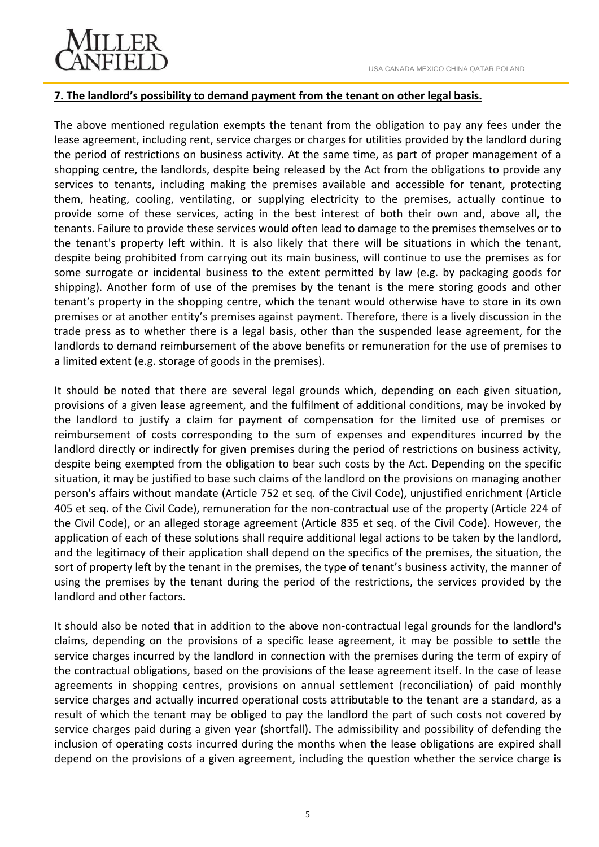

#### **7. The landlord's possibility to demand payment from the tenant on other legal basis.**

The above mentioned regulation exempts the tenant from the obligation to pay any fees under the lease agreement, including rent, service charges or charges for utilities provided by the landlord during the period of restrictions on business activity. At the same time, as part of proper management of a shopping centre, the landlords, despite being released by the Act from the obligations to provide any services to tenants, including making the premises available and accessible for tenant, protecting them, heating, cooling, ventilating, or supplying electricity to the premises, actually continue to provide some of these services, acting in the best interest of both their own and, above all, the tenants. Failure to provide these services would often lead to damage to the premises themselves or to the tenant's property left within. It is also likely that there will be situations in which the tenant, despite being prohibited from carrying out its main business, will continue to use the premises as for some surrogate or incidental business to the extent permitted by law (e.g. by packaging goods for shipping). Another form of use of the premises by the tenant is the mere storing goods and other tenant's property in the shopping centre, which the tenant would otherwise have to store in its own premises or at another entity's premises against payment. Therefore, there is a lively discussion in the trade press as to whether there is a legal basis, other than the suspended lease agreement, for the landlords to demand reimbursement of the above benefits or remuneration for the use of premises to a limited extent (e.g. storage of goods in the premises).

It should be noted that there are several legal grounds which, depending on each given situation, provisions of a given lease agreement, and the fulfilment of additional conditions, may be invoked by the landlord to justify a claim for payment of compensation for the limited use of premises or reimbursement of costs corresponding to the sum of expenses and expenditures incurred by the landlord directly or indirectly for given premises during the period of restrictions on business activity, despite being exempted from the obligation to bear such costs by the Act. Depending on the specific situation, it may be justified to base such claims of the landlord on the provisions on managing another person's affairs without mandate (Article 752 et seq. of the Civil Code), unjustified enrichment (Article 405 et seq. of the Civil Code), remuneration for the non-contractual use of the property (Article 224 of the Civil Code), or an alleged storage agreement (Article 835 et seq. of the Civil Code). However, the application of each of these solutions shall require additional legal actions to be taken by the landlord, and the legitimacy of their application shall depend on the specifics of the premises, the situation, the sort of property left by the tenant in the premises, the type of tenant's business activity, the manner of using the premises by the tenant during the period of the restrictions, the services provided by the landlord and other factors.

It should also be noted that in addition to the above non-contractual legal grounds for the landlord's claims, depending on the provisions of a specific lease agreement, it may be possible to settle the service charges incurred by the landlord in connection with the premises during the term of expiry of the contractual obligations, based on the provisions of the lease agreement itself. In the case of lease agreements in shopping centres, provisions on annual settlement (reconciliation) of paid monthly service charges and actually incurred operational costs attributable to the tenant are a standard, as a result of which the tenant may be obliged to pay the landlord the part of such costs not covered by service charges paid during a given year (shortfall). The admissibility and possibility of defending the inclusion of operating costs incurred during the months when the lease obligations are expired shall depend on the provisions of a given agreement, including the question whether the service charge is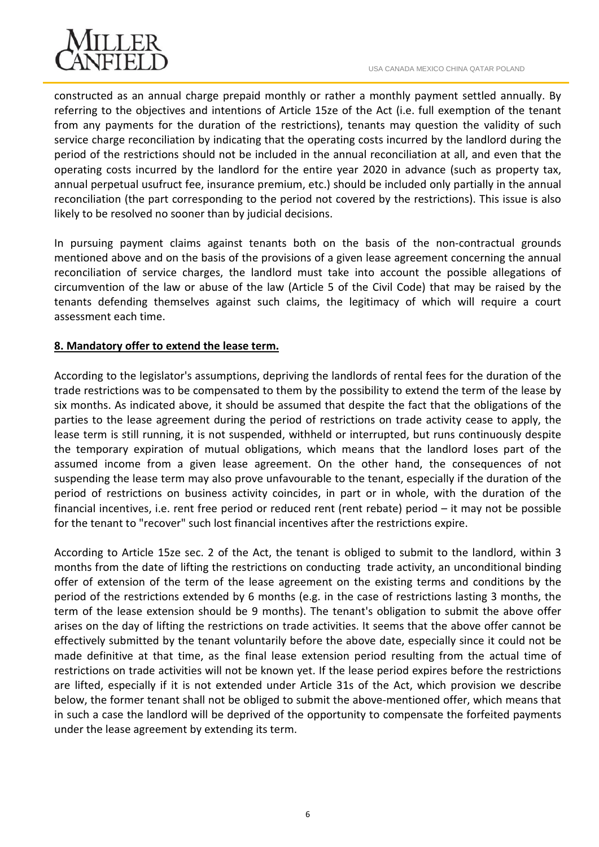

constructed as an annual charge prepaid monthly or rather a monthly payment settled annually. By referring to the objectives and intentions of Article 15ze of the Act (i.e. full exemption of the tenant from any payments for the duration of the restrictions), tenants may question the validity of such service charge reconciliation by indicating that the operating costs incurred by the landlord during the period of the restrictions should not be included in the annual reconciliation at all, and even that the operating costs incurred by the landlord for the entire year 2020 in advance (such as property tax, annual perpetual usufruct fee, insurance premium, etc.) should be included only partially in the annual reconciliation (the part corresponding to the period not covered by the restrictions). This issue is also likely to be resolved no sooner than by judicial decisions.

In pursuing payment claims against tenants both on the basis of the non-contractual grounds mentioned above and on the basis of the provisions of a given lease agreement concerning the annual reconciliation of service charges, the landlord must take into account the possible allegations of circumvention of the law or abuse of the law (Article 5 of the Civil Code) that may be raised by the tenants defending themselves against such claims, the legitimacy of which will require a court assessment each time.

## **8. Mandatory offer to extend the lease term.**

According to the legislator's assumptions, depriving the landlords of rental fees for the duration of the trade restrictions was to be compensated to them by the possibility to extend the term of the lease by six months. As indicated above, it should be assumed that despite the fact that the obligations of the parties to the lease agreement during the period of restrictions on trade activity cease to apply, the lease term is still running, it is not suspended, withheld or interrupted, but runs continuously despite the temporary expiration of mutual obligations, which means that the landlord loses part of the assumed income from a given lease agreement. On the other hand, the consequences of not suspending the lease term may also prove unfavourable to the tenant, especially if the duration of the period of restrictions on business activity coincides, in part or in whole, with the duration of the financial incentives, i.e. rent free period or reduced rent (rent rebate) period – it may not be possible for the tenant to "recover" such lost financial incentives after the restrictions expire.

According to Article 15ze sec. 2 of the Act, the tenant is obliged to submit to the landlord, within 3 months from the date of lifting the restrictions on conducting trade activity, an unconditional binding offer of extension of the term of the lease agreement on the existing terms and conditions by the period of the restrictions extended by 6 months (e.g. in the case of restrictions lasting 3 months, the term of the lease extension should be 9 months). The tenant's obligation to submit the above offer arises on the day of lifting the restrictions on trade activities. It seems that the above offer cannot be effectively submitted by the tenant voluntarily before the above date, especially since it could not be made definitive at that time, as the final lease extension period resulting from the actual time of restrictions on trade activities will not be known yet. If the lease period expires before the restrictions are lifted, especially if it is not extended under Article 31s of the Act, which provision we describe below, the former tenant shall not be obliged to submit the above-mentioned offer, which means that in such a case the landlord will be deprived of the opportunity to compensate the forfeited payments under the lease agreement by extending its term.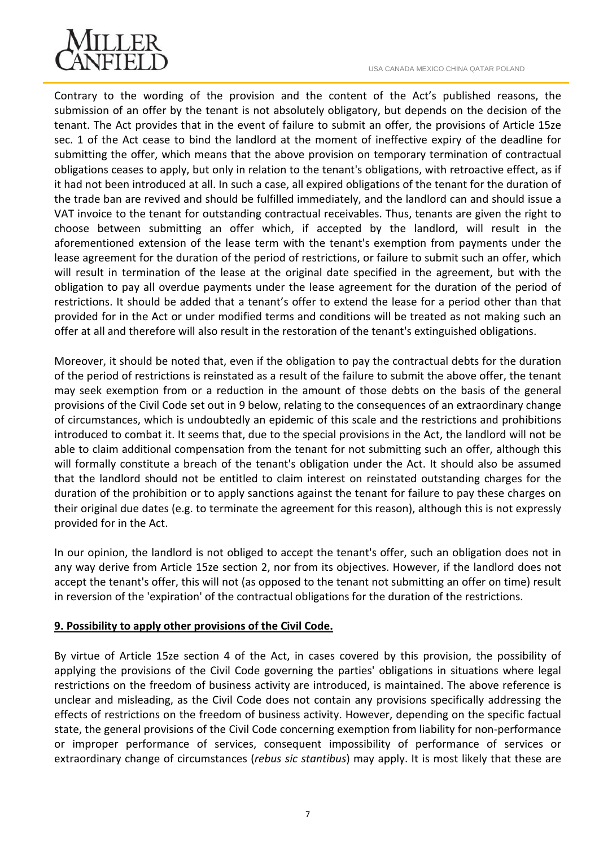

Contrary to the wording of the provision and the content of the Act's published reasons, the submission of an offer by the tenant is not absolutely obligatory, but depends on the decision of the tenant. The Act provides that in the event of failure to submit an offer, the provisions of Article 15ze sec. 1 of the Act cease to bind the landlord at the moment of ineffective expiry of the deadline for submitting the offer, which means that the above provision on temporary termination of contractual obligations ceases to apply, but only in relation to the tenant's obligations, with retroactive effect, as if it had not been introduced at all. In such a case, all expired obligations of the tenant for the duration of the trade ban are revived and should be fulfilled immediately, and the landlord can and should issue a VAT invoice to the tenant for outstanding contractual receivables. Thus, tenants are given the right to choose between submitting an offer which, if accepted by the landlord, will result in the aforementioned extension of the lease term with the tenant's exemption from payments under the lease agreement for the duration of the period of restrictions, or failure to submit such an offer, which will result in termination of the lease at the original date specified in the agreement, but with the obligation to pay all overdue payments under the lease agreement for the duration of the period of restrictions. It should be added that a tenant's offer to extend the lease for a period other than that provided for in the Act or under modified terms and conditions will be treated as not making such an offer at all and therefore will also result in the restoration of the tenant's extinguished obligations.

Moreover, it should be noted that, even if the obligation to pay the contractual debts for the duration of the period of restrictions is reinstated as a result of the failure to submit the above offer, the tenant may seek exemption from or a reduction in the amount of those debts on the basis of the general provisions of the Civil Code set out in 9 below, relating to the consequences of an extraordinary change of circumstances, which is undoubtedly an epidemic of this scale and the restrictions and prohibitions introduced to combat it. It seems that, due to the special provisions in the Act, the landlord will not be able to claim additional compensation from the tenant for not submitting such an offer, although this will formally constitute a breach of the tenant's obligation under the Act. It should also be assumed that the landlord should not be entitled to claim interest on reinstated outstanding charges for the duration of the prohibition or to apply sanctions against the tenant for failure to pay these charges on their original due dates (e.g. to terminate the agreement for this reason), although this is not expressly provided for in the Act.

In our opinion, the landlord is not obliged to accept the tenant's offer, such an obligation does not in any way derive from Article 15ze section 2, nor from its objectives. However, if the landlord does not accept the tenant's offer, this will not (as opposed to the tenant not submitting an offer on time) result in reversion of the 'expiration' of the contractual obligations for the duration of the restrictions.

# **9. Possibility to apply other provisions of the Civil Code.**

By virtue of Article 15ze section 4 of the Act, in cases covered by this provision, the possibility of applying the provisions of the Civil Code governing the parties' obligations in situations where legal restrictions on the freedom of business activity are introduced, is maintained. The above reference is unclear and misleading, as the Civil Code does not contain any provisions specifically addressing the effects of restrictions on the freedom of business activity. However, depending on the specific factual state, the general provisions of the Civil Code concerning exemption from liability for non-performance or improper performance of services, consequent impossibility of performance of services or extraordinary change of circumstances (*rebus sic stantibus*) may apply. It is most likely that these are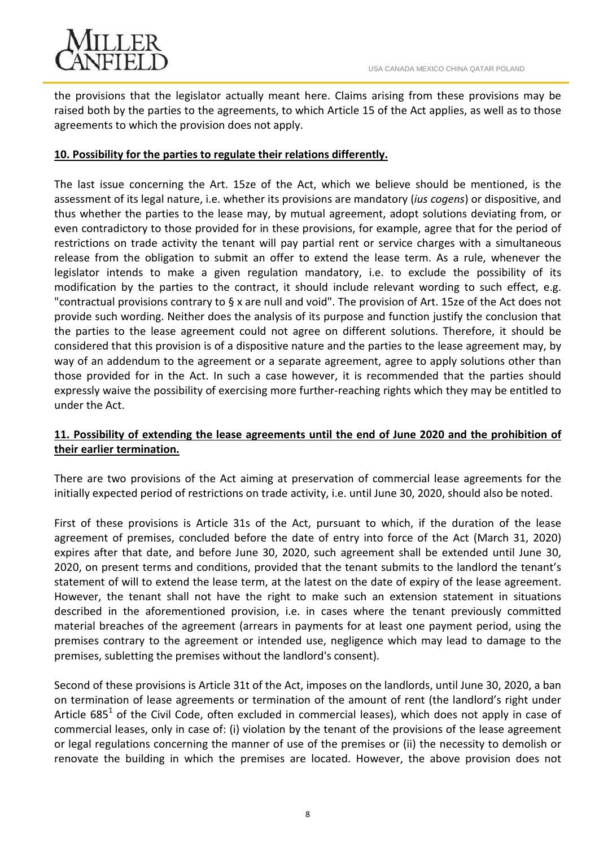

the provisions that the legislator actually meant here. Claims arising from these provisions may be raised both by the parties to the agreements, to which Article 15 of the Act applies, as well as to those agreements to which the provision does not apply.

## **10. Possibility for the parties to regulate their relations differently.**

The last issue concerning the Art. 15ze of the Act, which we believe should be mentioned, is the assessment of its legal nature, i.e. whether its provisions are mandatory (*ius cogens*) or dispositive, and thus whether the parties to the lease may, by mutual agreement, adopt solutions deviating from, or even contradictory to those provided for in these provisions, for example, agree that for the period of restrictions on trade activity the tenant will pay partial rent or service charges with a simultaneous release from the obligation to submit an offer to extend the lease term. As a rule, whenever the legislator intends to make a given regulation mandatory, i.e. to exclude the possibility of its modification by the parties to the contract, it should include relevant wording to such effect, e.g. "contractual provisions contrary to § x are null and void". The provision of Art. 15ze of the Act does not provide such wording. Neither does the analysis of its purpose and function justify the conclusion that the parties to the lease agreement could not agree on different solutions. Therefore, it should be considered that this provision is of a dispositive nature and the parties to the lease agreement may, by way of an addendum to the agreement or a separate agreement, agree to apply solutions other than those provided for in the Act. In such a case however, it is recommended that the parties should expressly waive the possibility of exercising more further-reaching rights which they may be entitled to under the Act.

# **11. Possibility of extending the lease agreements until the end of June 2020 and the prohibition of their earlier termination.**

There are two provisions of the Act aiming at preservation of commercial lease agreements for the initially expected period of restrictions on trade activity, i.e. until June 30, 2020, should also be noted.

First of these provisions is Article 31s of the Act, pursuant to which, if the duration of the lease agreement of premises, concluded before the date of entry into force of the Act (March 31, 2020) expires after that date, and before June 30, 2020, such agreement shall be extended until June 30, 2020, on present terms and conditions, provided that the tenant submits to the landlord the tenant's statement of will to extend the lease term, at the latest on the date of expiry of the lease agreement. However, the tenant shall not have the right to make such an extension statement in situations described in the aforementioned provision, i.e. in cases where the tenant previously committed material breaches of the agreement (arrears in payments for at least one payment period, using the premises contrary to the agreement or intended use, negligence which may lead to damage to the premises, subletting the premises without the landlord's consent).

Second of these provisions is Article 31t of the Act, imposes on the landlords, until June 30, 2020, a ban on termination of lease agreements or termination of the amount of rent (the landlord's right under Article  $685^1$  of the Civil Code, often excluded in commercial leases), which does not apply in case of commercial leases, only in case of: (i) violation by the tenant of the provisions of the lease agreement or legal regulations concerning the manner of use of the premises or (ii) the necessity to demolish or renovate the building in which the premises are located. However, the above provision does not